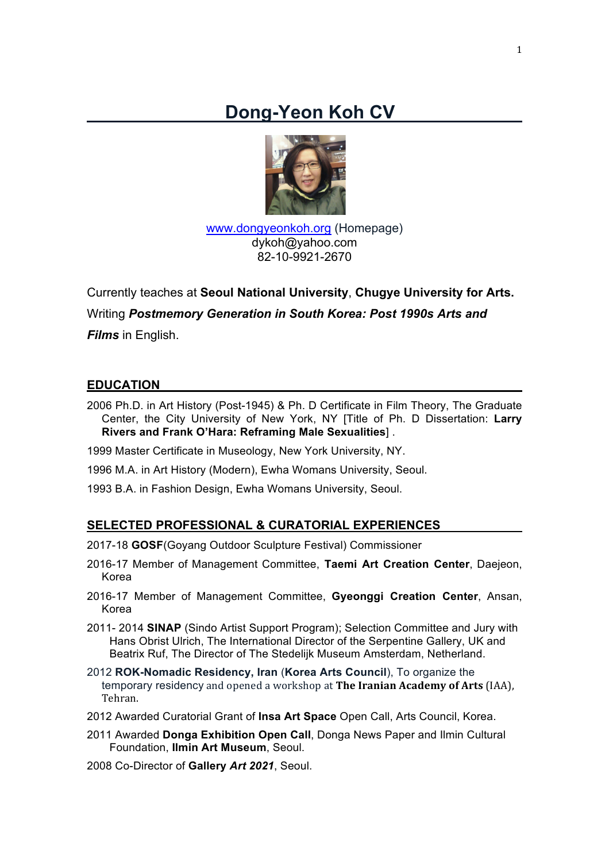# **Dong-Yeon Koh CV**



www.dongyeonkoh.org (Homepage) dykoh@yahoo.com 82-10-9921-2670

Currently teaches at **Seoul National University**, **Chugye University for Arts.** Writing *Postmemory Generation in South Korea: Post 1990s Arts and Films* in English.

## **EDUCATION**

2006 Ph.D. in Art History (Post-1945) & Ph. D Certificate in Film Theory, The Graduate Center, the City University of New York, NY [Title of Ph. D Dissertation: **Larry Rivers and Frank O'Hara: Reframing Male Sexualities**] .

1999 Master Certificate in Museology, New York University, NY.

1996 M.A. in Art History (Modern), Ewha Womans University, Seoul.

1993 B.A. in Fashion Design, Ewha Womans University, Seoul.

## **SELECTED PROFESSIONAL & CURATORIAL EXPERIENCES**

2017-18 **GOSF**(Goyang Outdoor Sculpture Festival) Commissioner

- 2016-17 Member of Management Committee, **Taemi Art Creation Center**, Daejeon, Korea
- 2016-17 Member of Management Committee, **Gyeonggi Creation Center**, Ansan, Korea
- 2011- 2014 **SINAP** (Sindo Artist Support Program); Selection Committee and Jury with Hans Obrist Ulrich, The International Director of the Serpentine Gallery, UK and Beatrix Ruf, The Director of The Stedelijk Museum Amsterdam, Netherland.
- 2012 **ROK-Nomadic Residency, Iran** (**Korea Arts Council**), To organize the temporary residency and opened a workshop at **The Iranian Academy of Arts** (IAA), Tehran.
- 2012 Awarded Curatorial Grant of **Insa Art Space** Open Call, Arts Council, Korea.
- 2011 Awarded **Donga Exhibition Open Call**, Donga News Paper and Ilmin Cultural Foundation, **Ilmin Art Museum**, Seoul.

2008 Co-Director of **Gallery** *Art 2021*, Seoul.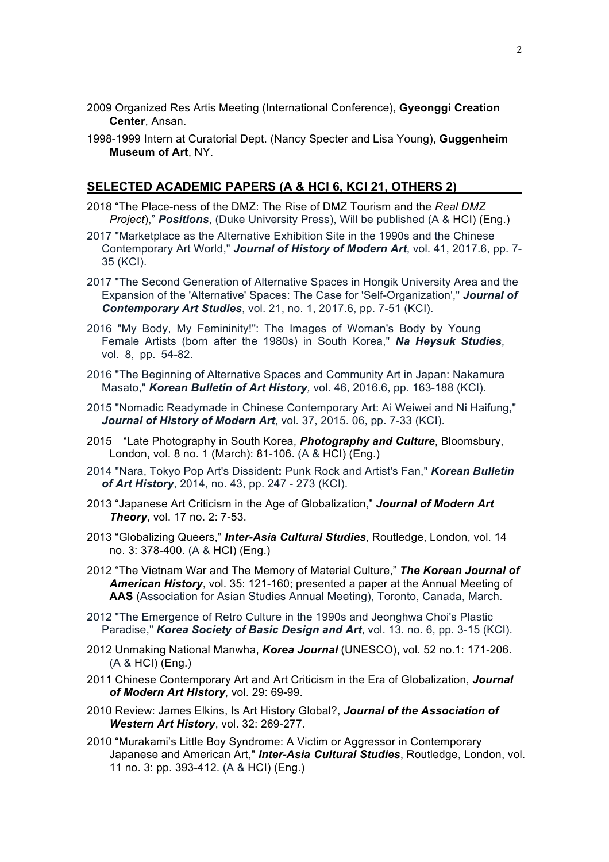- 2009 Organized Res Artis Meeting (International Conference), **Gyeonggi Creation Center**, Ansan.
- 1998-1999 Intern at Curatorial Dept. (Nancy Specter and Lisa Young), **Guggenheim Museum of Art**, NY.

#### **SELECTED ACADEMIC PAPERS (A & HCI 6, KCI 21, OTHERS 2)**

- 2018 "The Place-ness of the DMZ: The Rise of DMZ Tourism and the *Real DMZ Project*)," *Positions*, (Duke University Press), Will be published (A & HCI) (Eng.)
- 2017 "Marketplace as the Alternative Exhibition Site in the 1990s and the Chinese Contemporary Art World," *Journal of History of Modern Art*, vol. 41, 2017.6, pp. 7- 35 (KCI).
- 2017 "The Second Generation of Alternative Spaces in Hongik University Area and the Expansion of the 'Alternative' Spaces: The Case for 'Self-Organization'," *Journal of Contemporary Art Studies*, vol. 21, no. 1, 2017.6, pp. 7-51 (KCI).
- 2016 "My Body, My Femininity!": The Images of Woman's Body by Young Female Artists (born after the 1980s) in South Korea," *Na Heysuk Studies*, vol. 8, pp. 54-82.
- 2016 "The Beginning of Alternative Spaces and Community Art in Japan: Nakamura Masato," *Korean Bulletin of Art History,* vol. 46, 2016.6, pp. 163-188 (KCI).
- 2015 "Nomadic Readymade in Chinese Contemporary Art: Ai Weiwei and Ni Haifung," *Journal of History of Modern Art*, vol. 37, 2015. 06, pp. 7-33 (KCI).
- 2015 "Late Photography in South Korea, *Photography and Culture*, Bloomsbury, London, vol. 8 no. 1 (March): 81-106. (A & HCI) (Eng.)
- 2014 "Nara, Tokyo Pop Art's Dissident**:** Punk Rock and Artist's Fan," *Korean Bulletin of Art History*, 2014, no. 43, pp. 247 - 273 (KCI).
- 2013 "Japanese Art Criticism in the Age of Globalization," *Journal of Modern Art Theory*, vol. 17 no. 2: 7-53.
- 2013 "Globalizing Queers," *Inter-Asia Cultural Studies*, Routledge, London, vol. 14 no. 3: 378-400. (A & HCI) (Eng.)
- 2012 "The Vietnam War and The Memory of Material Culture," *The Korean Journal of American History*, vol. 35: 121-160; presented a paper at the Annual Meeting of **AAS** (Association for Asian Studies Annual Meeting), Toronto, Canada, March.
- 2012 "The Emergence of Retro Culture in the 1990s and Jeonghwa Choi's Plastic Paradise," *Korea Society of Basic Design and Art*, vol. 13. no. 6, pp. 3-15 (KCI).
- 2012 Unmaking National Manwha, *Korea Journal* (UNESCO), vol. 52 no.1: 171-206. (A & HCI) (Eng.)
- 2011 Chinese Contemporary Art and Art Criticism in the Era of Globalization, *Journal of Modern Art History*, vol. 29: 69-99.
- 2010 Review: James Elkins, Is Art History Global?, *Journal of the Association of Western Art History*, vol. 32: 269-277.
- 2010 "Murakami's Little Boy Syndrome: A Victim or Aggressor in Contemporary Japanese and American Art," *Inter-Asia Cultural Studies*, Routledge, London, vol. 11 no. 3: pp. 393-412. (A & HCI) (Eng.)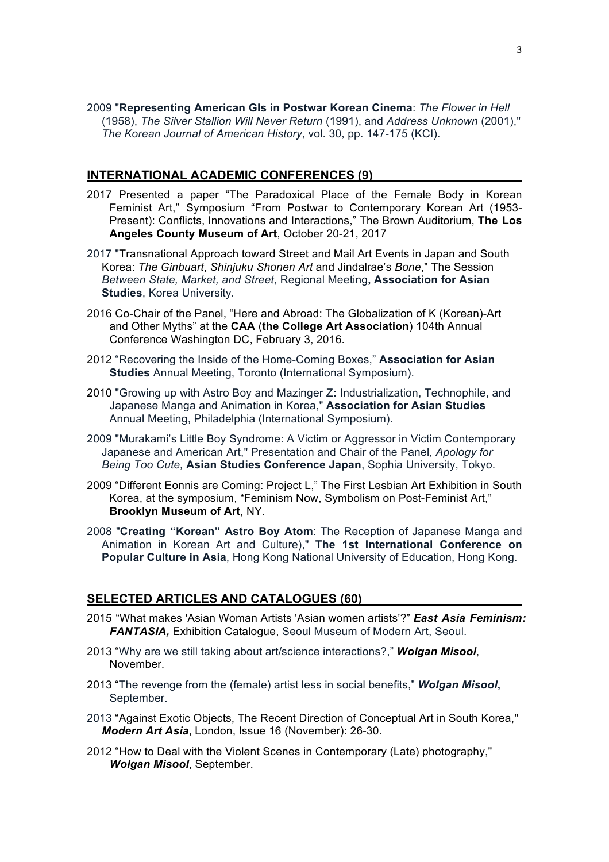2009 "**Representing American GIs in Postwar Korean Cinema**: *The Flower in Hell* (1958), *The Silver Stallion Will Never Return* (1991), and *Address Unknown* (2001)," *The Korean Journal of American History*, vol. 30, pp. 147-175 (KCI).

#### **INTERNATIONAL ACADEMIC CONFERENCES (9)**

- 2017 Presented a paper "The Paradoxical Place of the Female Body in Korean Feminist Art," Symposium "From Postwar to Contemporary Korean Art (1953- Present): Conflicts, Innovations and Interactions," The Brown Auditorium, **The Los Angeles County Museum of Art**, October 20-21, 2017
- 2017 "Transnational Approach toward Street and Mail Art Events in Japan and South Korea: *The Ginbuart*, *Shinjuku Shonen Art* and Jindalrae's *Bone*," The Session *Between State, Market, and Street*, Regional Meeting**, Association for Asian Studies**, Korea University.
- 2016 Co-Chair of the Panel, "Here and Abroad: The Globalization of K (Korean)-Art and Other Myths" at the **CAA** (**the College Art Association**) 104th Annual Conference Washington DC, February 3, 2016.
- 2012 "Recovering the Inside of the Home-Coming Boxes," **Association for Asian Studies** Annual Meeting, Toronto (International Symposium).
- 2010 "Growing up with Astro Boy and Mazinger Z**:** Industrialization, Technophile, and Japanese Manga and Animation in Korea," **Association for Asian Studies** Annual Meeting, Philadelphia (International Symposium).
- 2009 "Murakami's Little Boy Syndrome: A Victim or Aggressor in Victim Contemporary Japanese and American Art," Presentation and Chair of the Panel, *Apology for Being Too Cute,* **Asian Studies Conference Japan**, Sophia University, Tokyo.
- 2009 "Different Eonnis are Coming: Project L," The First Lesbian Art Exhibition in South Korea, at the symposium, "Feminism Now, Symbolism on Post-Feminist Art," **Brooklyn Museum of Art**, NY.
- 2008 "**Creating "Korean" Astro Boy Atom**: The Reception of Japanese Manga and Animation in Korean Art and Culture)," **The 1st International Conference on Popular Culture in Asia**, Hong Kong National University of Education, Hong Kong.

#### **SELECTED ARTICLES AND CATALOGUES (60)**

- 2015 "What makes 'Asian Woman Artists 'Asian women artists'?" *East Asia Feminism: FANTASIA,* Exhibition Catalogue, Seoul Museum of Modern Art, Seoul.
- 2013 "Why are we still taking about art/science interactions?," *Wolgan Misool*, November.
- 2013 "The revenge from the (female) artist less in social benefits," *Wolgan Misool***,** September.
- 2013 "Against Exotic Objects, The Recent Direction of Conceptual Art in South Korea," *Modern Art Asia*, London, Issue 16 (November): 26-30.
- 2012 "How to Deal with the Violent Scenes in Contemporary (Late) photography," *Wolgan Misool*, September.